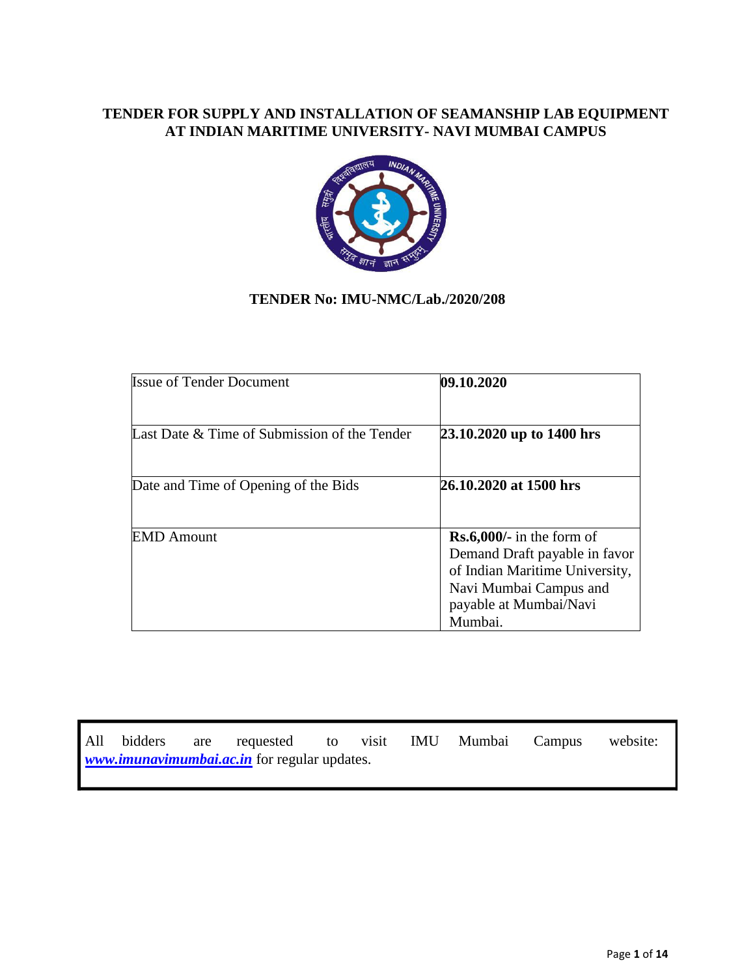### **TENDER FOR SUPPLY AND INSTALLATION OF SEAMANSHIP LAB EQUIPMENT AT INDIAN MARITIME UNIVERSITY- NAVI MUMBAI CAMPUS**



## **TENDER No: IMU-NMC/Lab./2020/208**

| <b>Issue of Tender Document</b>              | 09.10.2020                                                          |
|----------------------------------------------|---------------------------------------------------------------------|
| Last Date & Time of Submission of the Tender | 23.10.2020 up to 1400 hrs                                           |
| Date and Time of Opening of the Bids         | 26.10.2020 at 1500 hrs                                              |
| <b>EMD</b> Amount                            | $\text{Rs.6,000/-}$ in the form of<br>Demand Draft payable in favor |
|                                              | of Indian Maritime University,<br>Navi Mumbai Campus and            |
|                                              | payable at Mumbai/Navi<br>Mumbai.                                   |

All bidders are requested to visit IMU Mumbai Campus website: *[www.imunavimumbai.ac.in](http://www.imunavimumbai.ac.in/)* for regular updates.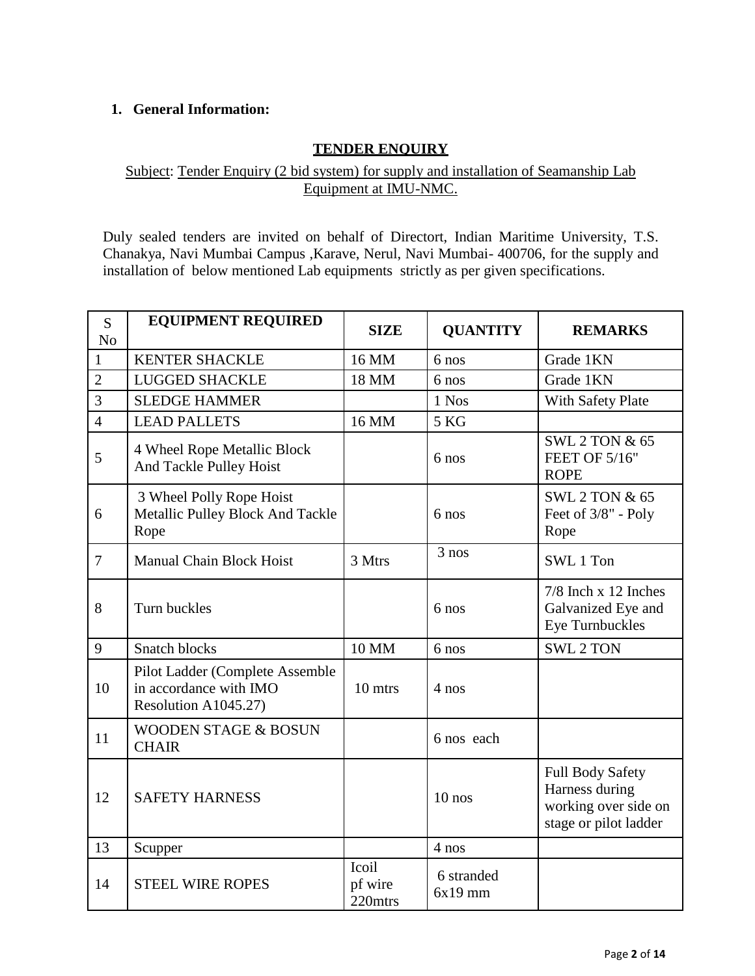## **1. General Information:**

## **TENDER ENQUIRY**

## Subject: Tender Enquiry (2 bid system) for supply and installation of Seamanship Lab Equipment at IMU-NMC.

Duly sealed tenders are invited on behalf of Directort, Indian Maritime University, T.S. Chanakya, Navi Mumbai Campus ,Karave, Nerul, Navi Mumbai- 400706, for the supply and installation of below mentioned Lab equipments strictly as per given specifications.

| S              | <b>EQUIPMENT REQUIRED</b>                                                         | <b>SIZE</b>                 | <b>QUANTITY</b>         | <b>REMARKS</b>                                                                             |
|----------------|-----------------------------------------------------------------------------------|-----------------------------|-------------------------|--------------------------------------------------------------------------------------------|
| N <sub>o</sub> |                                                                                   |                             |                         |                                                                                            |
| $\mathbf{1}$   | <b>KENTER SHACKLE</b>                                                             | 16 MM                       | 6 nos                   | Grade 1KN                                                                                  |
| $\overline{2}$ | <b>LUGGED SHACKLE</b>                                                             | 18 MM                       | 6 nos                   | Grade 1KN                                                                                  |
| 3              | <b>SLEDGE HAMMER</b>                                                              |                             | 1 Nos                   | <b>With Safety Plate</b>                                                                   |
| $\overline{4}$ | <b>LEAD PALLETS</b>                                                               | 16 MM                       | 5 KG                    |                                                                                            |
| 5              | 4 Wheel Rope Metallic Block<br>And Tackle Pulley Hoist                            |                             | 6 nos                   | <b>SWL 2 TON &amp; 65</b><br>FEET OF 5/16"<br><b>ROPE</b>                                  |
| 6              | 3 Wheel Polly Rope Hoist<br>Metallic Pulley Block And Tackle<br>Rope              |                             | 6 nos                   | <b>SWL 2 TON &amp; 65</b><br>Feet of 3/8" - Poly<br>Rope                                   |
| $\overline{7}$ | <b>Manual Chain Block Hoist</b>                                                   | 3 Mtrs                      | 3 nos                   | SWL 1 Ton                                                                                  |
| 8              | Turn buckles                                                                      |                             | 6 nos                   | $7/8$ Inch x 12 Inches<br>Galvanized Eye and<br><b>Eye Turnbuckles</b>                     |
| 9              | <b>Snatch blocks</b>                                                              | 10 MM                       | 6 nos                   | <b>SWL 2 TON</b>                                                                           |
| 10             | Pilot Ladder (Complete Assemble<br>in accordance with IMO<br>Resolution A1045.27) | 10 mtrs                     | $4$ nos                 |                                                                                            |
| 11             | <b>WOODEN STAGE &amp; BOSUN</b><br><b>CHAIR</b>                                   |                             | 6 nos each              |                                                                                            |
| 12             | <b>SAFETY HARNESS</b>                                                             |                             | $10$ nos                | <b>Full Body Safety</b><br>Harness during<br>working over side on<br>stage or pilot ladder |
| 13             | Scupper                                                                           |                             | 4 nos                   |                                                                                            |
| 14             | <b>STEEL WIRE ROPES</b>                                                           | Icoil<br>pf wire<br>220mtrs | 6 stranded<br>$6x19$ mm |                                                                                            |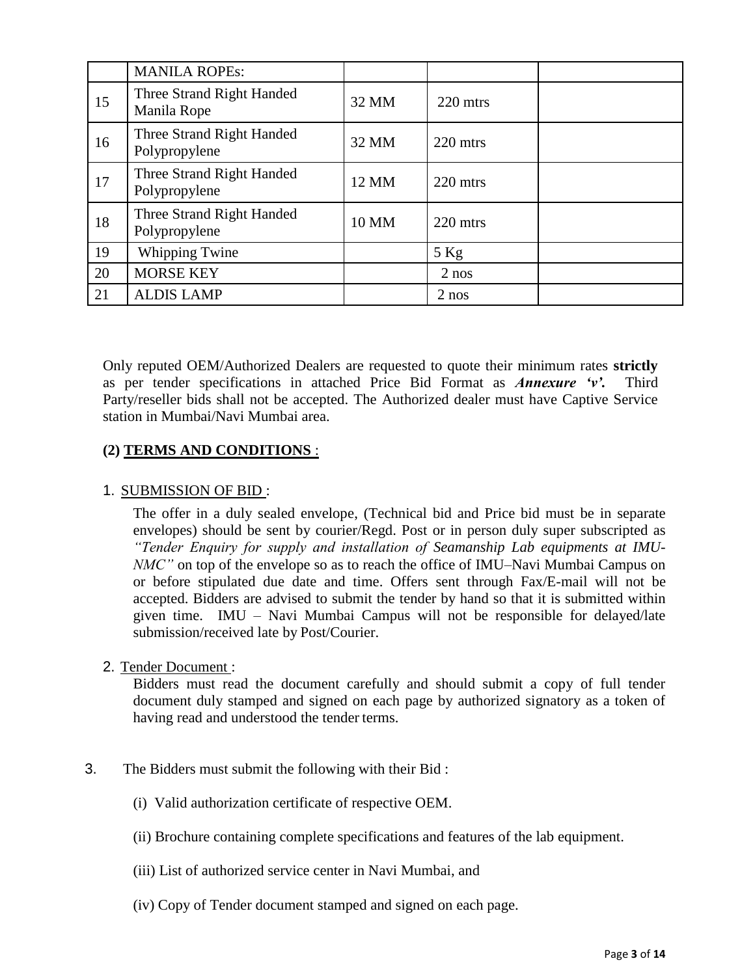|    | <b>MANILA ROPEs:</b>                       |       |          |  |
|----|--------------------------------------------|-------|----------|--|
| 15 | Three Strand Right Handed<br>Manila Rope   | 32 MM | 220 mtrs |  |
| 16 | Three Strand Right Handed<br>Polypropylene | 32 MM | 220 mtrs |  |
| 17 | Three Strand Right Handed<br>Polypropylene | 12 MM | 220 mtrs |  |
| 18 | Three Strand Right Handed<br>Polypropylene | 10 MM | 220 mtrs |  |
| 19 | <b>Whipping Twine</b>                      |       | $5$ Kg   |  |
| 20 | <b>MORSE KEY</b>                           |       | $2$ nos  |  |
| 21 | <b>ALDIS LAMP</b>                          |       | $2$ nos  |  |

Only reputed OEM/Authorized Dealers are requested to quote their minimum rates **strictly** as per tender specifications in attached Price Bid Format as *Annexure 'v'.* Third Party/reseller bids shall not be accepted. The Authorized dealer must have Captive Service station in Mumbai/Navi Mumbai area.

## **(2) TERMS AND CONDITIONS** :

#### 1. SUBMISSION OF BID :

The offer in a duly sealed envelope, (Technical bid and Price bid must be in separate envelopes) should be sent by courier/Regd. Post or in person duly super subscripted as *"Tender Enquiry for supply and installation of Seamanship Lab equipments at IMU-NMC"* on top of the envelope so as to reach the office of IMU–Navi Mumbai Campus on or before stipulated due date and time. Offers sent through Fax/E-mail will not be accepted. Bidders are advised to submit the tender by hand so that it is submitted within given time. IMU – Navi Mumbai Campus will not be responsible for delayed/late submission/received late by Post/Courier.

#### 2. Tender Document :

Bidders must read the document carefully and should submit a copy of full tender document duly stamped and signed on each page by authorized signatory as a token of having read and understood the tender terms.

- 3. The Bidders must submit the following with their Bid :
	- (i) Valid authorization certificate of respective OEM.
	- (ii) Brochure containing complete specifications and features of the lab equipment.
	- (iii) List of authorized service center in Navi Mumbai, and
	- (iv) Copy of Tender document stamped and signed on each page.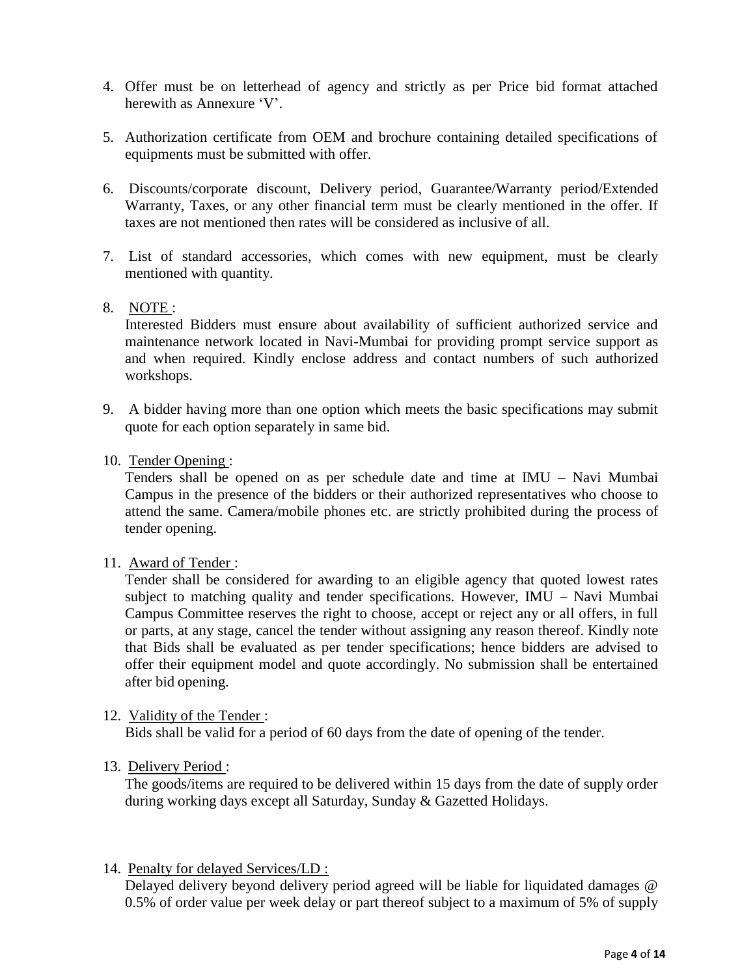- 4. Offer must be on letterhead of agency and strictly as per Price bid format attached herewith as Annexure 'V'.
- 5. Authorization certificate from OEM and brochure containing detailed specifications of equipments must be submitted with offer.
- 6. Discounts/corporate discount, Delivery period, Guarantee/Warranty period/Extended Warranty, Taxes, or any other financial term must be clearly mentioned in the offer. If taxes are not mentioned then rates will be considered as inclusive of all.
- 7. List of standard accessories, which comes with new equipment, must be clearly mentioned with quantity.
- 8. NOTE :

Interested Bidders must ensure about availability of sufficient authorized service and maintenance network located in Navi-Mumbai for providing prompt service support as and when required. Kindly enclose address and contact numbers of such authorized workshops.

- 9. A bidder having more than one option which meets the basic specifications may submit quote for each option separately in same bid.
- 10. Tender Opening :

Tenders shall be opened on as per schedule date and time at IMU – Navi Mumbai Campus in the presence of the bidders or their authorized representatives who choose to attend the same. Camera/mobile phones etc. are strictly prohibited during the process of tender opening.

11. Award of Tender :

Tender shall be considered for awarding to an eligible agency that quoted lowest rates subject to matching quality and tender specifications. However, IMU – Navi Mumbai Campus Committee reserves the right to choose, accept or reject any or all offers, in full or parts, at any stage, cancel the tender without assigning any reason thereof. Kindly note that Bids shall be evaluated as per tender specifications; hence bidders are advised to offer their equipment model and quote accordingly. No submission shall be entertained after bid opening.

12. Validity of the Tender :

Bids shall be valid for a period of 60 days from the date of opening of the tender.

13. Delivery Period :

The goods/items are required to be delivered within 15 days from the date of supply order during working days except all Saturday, Sunday & Gazetted Holidays.

14. Penalty for delayed Services/LD :

Delayed delivery beyond delivery period agreed will be liable for liquidated damages @ 0.5% of order value per week delay or part thereof subject to a maximum of 5% of supply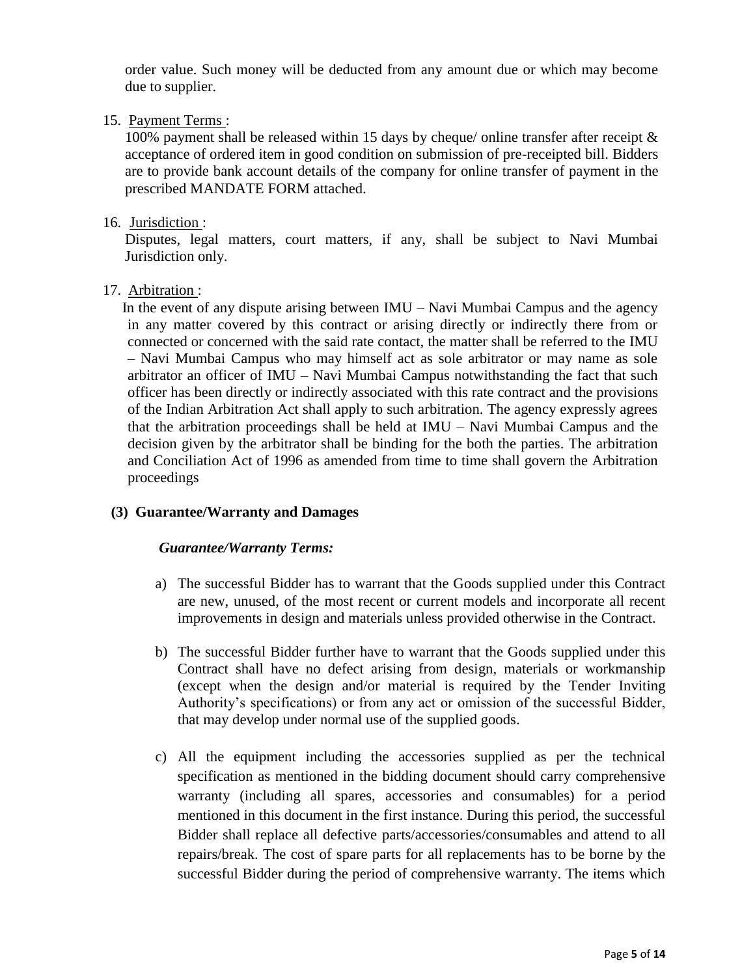order value. Such money will be deducted from any amount due or which may become due to supplier.

### 15. Payment Terms :

100% payment shall be released within 15 days by cheque/ online transfer after receipt  $\&$ acceptance of ordered item in good condition on submission of pre-receipted bill. Bidders are to provide bank account details of the company for online transfer of payment in the prescribed MANDATE FORM attached.

#### 16. Jurisdiction :

Disputes, legal matters, court matters, if any, shall be subject to Navi Mumbai Jurisdiction only.

#### 17. Arbitration :

 In the event of any dispute arising between IMU – Navi Mumbai Campus and the agency in any matter covered by this contract or arising directly or indirectly there from or connected or concerned with the said rate contact, the matter shall be referred to the IMU – Navi Mumbai Campus who may himself act as sole arbitrator or may name as sole arbitrator an officer of IMU – Navi Mumbai Campus notwithstanding the fact that such officer has been directly or indirectly associated with this rate contract and the provisions of the Indian Arbitration Act shall apply to such arbitration. The agency expressly agrees that the arbitration proceedings shall be held at IMU – Navi Mumbai Campus and the decision given by the arbitrator shall be binding for the both the parties. The arbitration and Conciliation Act of 1996 as amended from time to time shall govern the Arbitration proceedings

## **(3) Guarantee/Warranty and Damages**

#### *Guarantee/Warranty Terms:*

- a) The successful Bidder has to warrant that the Goods supplied under this Contract are new, unused, of the most recent or current models and incorporate all recent improvements in design and materials unless provided otherwise in the Contract.
- b) The successful Bidder further have to warrant that the Goods supplied under this Contract shall have no defect arising from design, materials or workmanship (except when the design and/or material is required by the Tender Inviting Authority"s specifications) or from any act or omission of the successful Bidder, that may develop under normal use of the supplied goods.
- c) All the equipment including the accessories supplied as per the technical specification as mentioned in the bidding document should carry comprehensive warranty (including all spares, accessories and consumables) for a period mentioned in this document in the first instance. During this period, the successful Bidder shall replace all defective parts/accessories/consumables and attend to all repairs/break. The cost of spare parts for all replacements has to be borne by the successful Bidder during the period of comprehensive warranty. The items which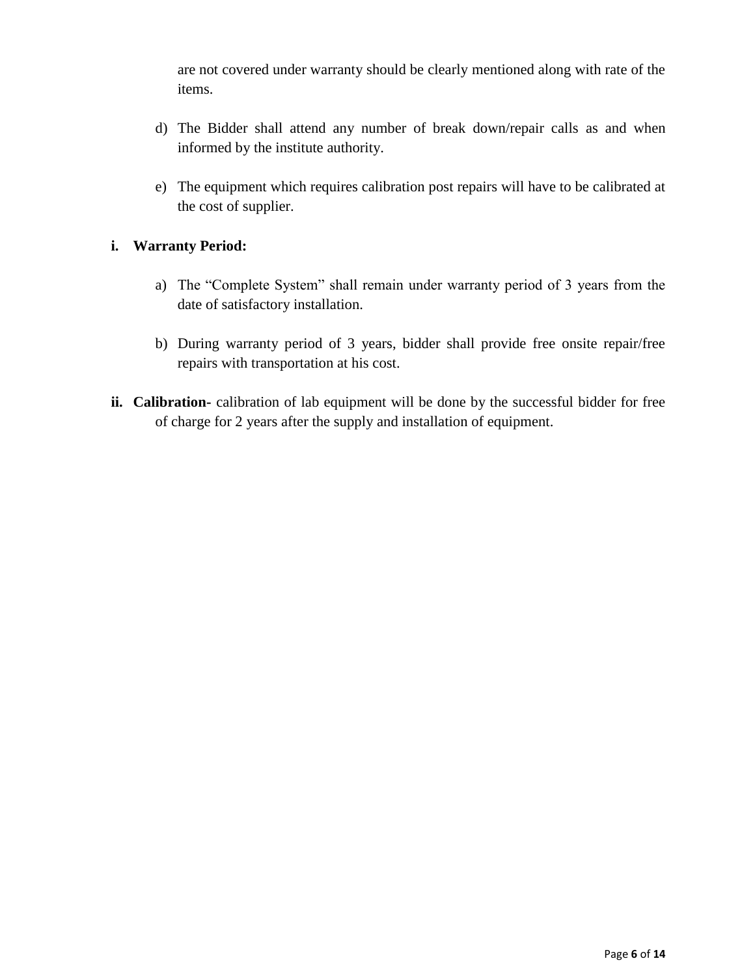are not covered under warranty should be clearly mentioned along with rate of the items.

- d) The Bidder shall attend any number of break down/repair calls as and when informed by the institute authority.
- e) The equipment which requires calibration post repairs will have to be calibrated at the cost of supplier.

## **i. Warranty Period:**

- a) The "Complete System" shall remain under warranty period of 3 years from the date of satisfactory installation.
- b) During warranty period of 3 years, bidder shall provide free onsite repair/free repairs with transportation at his cost.
- **ii. Calibration-** calibration of lab equipment will be done by the successful bidder for free of charge for 2 years after the supply and installation of equipment.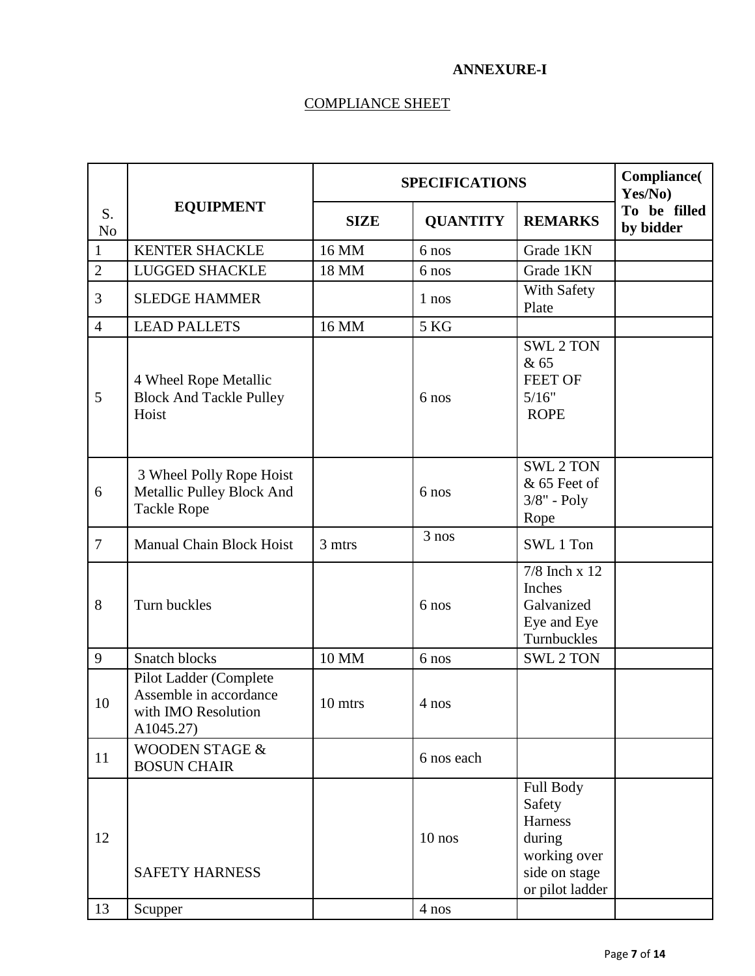#### **ANNEXURE-I**

# COMPLIANCE SHEET

|                      |                                                                                      | <b>SPECIFICATIONS</b> |                    |                                                                                              | <b>Compliance</b> (<br>Yes/No) |
|----------------------|--------------------------------------------------------------------------------------|-----------------------|--------------------|----------------------------------------------------------------------------------------------|--------------------------------|
| S.<br>N <sub>o</sub> | <b>EQUIPMENT</b>                                                                     | <b>SIZE</b>           | <b>QUANTITY</b>    | <b>REMARKS</b>                                                                               | To be filled<br>by bidder      |
| $\mathbf{1}$         | <b>KENTER SHACKLE</b>                                                                | 16 MM                 | 6 nos              | Grade 1KN                                                                                    |                                |
| $\overline{2}$       | <b>LUGGED SHACKLE</b>                                                                | 18 MM                 | 6 nos              | Grade 1KN                                                                                    |                                |
| 3                    | <b>SLEDGE HAMMER</b>                                                                 |                       | 1 nos              | With Safety<br>Plate                                                                         |                                |
| $\overline{4}$       | <b>LEAD PALLETS</b>                                                                  | 16 MM                 | 5 KG               |                                                                                              |                                |
| 5                    | 4 Wheel Rope Metallic<br><b>Block And Tackle Pulley</b><br>Hoist                     |                       | 6 nos              | <b>SWL 2 TON</b><br>& 65<br><b>FEET OF</b><br>5/16"<br><b>ROPE</b>                           |                                |
| 6                    | 3 Wheel Polly Rope Hoist<br>Metallic Pulley Block And<br><b>Tackle Rope</b>          |                       | 6 nos              | <b>SWL 2 TON</b><br>& 65 Feet of<br>$3/8"$ - $Poly$<br>Rope                                  |                                |
| $\overline{7}$       | <b>Manual Chain Block Hoist</b>                                                      | 3 mtrs                | $\overline{3}$ nos | SWL 1 Ton                                                                                    |                                |
| 8                    | Turn buckles                                                                         |                       | 6 nos              | $7/8$ Inch x 12<br>Inches<br>Galvanized<br>Eye and Eye<br>Turnbuckles                        |                                |
| 9                    | Snatch blocks                                                                        | 10 MM                 | 6 nos              | <b>SWL 2 TON</b>                                                                             |                                |
| 10                   | Pilot Ladder (Complete<br>Assemble in accordance<br>with IMO Resolution<br>A1045.27) | 10 mtrs               | 4 nos              |                                                                                              |                                |
| 11                   | <b>WOODEN STAGE &amp;</b><br><b>BOSUN CHAIR</b>                                      |                       | 6 nos each         |                                                                                              |                                |
| 12<br>13             | <b>SAFETY HARNESS</b>                                                                |                       | $10$ nos<br>4 nos  | Full Body<br>Safety<br>Harness<br>during<br>working over<br>side on stage<br>or pilot ladder |                                |
|                      | Scupper                                                                              |                       |                    |                                                                                              |                                |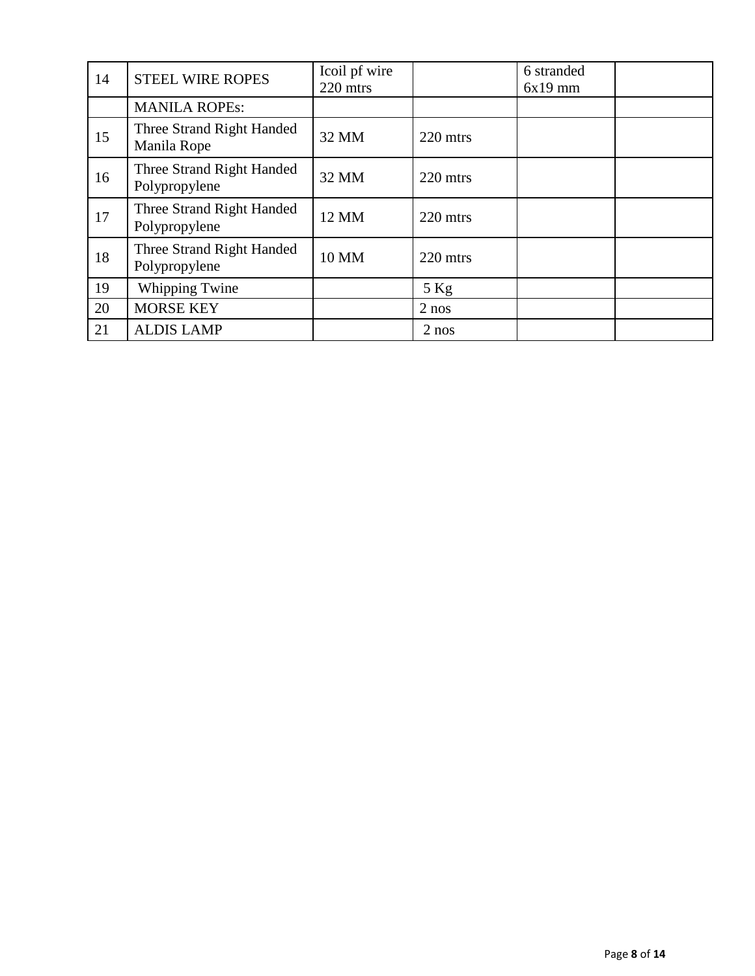| 14 | <b>STEEL WIRE ROPES</b>                    | Icoil pf wire<br>220 mtrs |          | 6 stranded<br>$6x19$ mm |  |
|----|--------------------------------------------|---------------------------|----------|-------------------------|--|
|    | <b>MANILA ROPEs:</b>                       |                           |          |                         |  |
| 15 | Three Strand Right Handed<br>Manila Rope   | 32 MM                     | 220 mtrs |                         |  |
| 16 | Three Strand Right Handed<br>Polypropylene | 32 MM                     | 220 mtrs |                         |  |
| 17 | Three Strand Right Handed<br>Polypropylene | 12 MM                     | 220 mtrs |                         |  |
| 18 | Three Strand Right Handed<br>Polypropylene | 10 MM                     | 220 mtrs |                         |  |
| 19 | Whipping Twine                             |                           | $5$ Kg   |                         |  |
| 20 | <b>MORSE KEY</b>                           |                           | $2$ nos  |                         |  |
| 21 | <b>ALDIS LAMP</b>                          |                           | $2$ nos  |                         |  |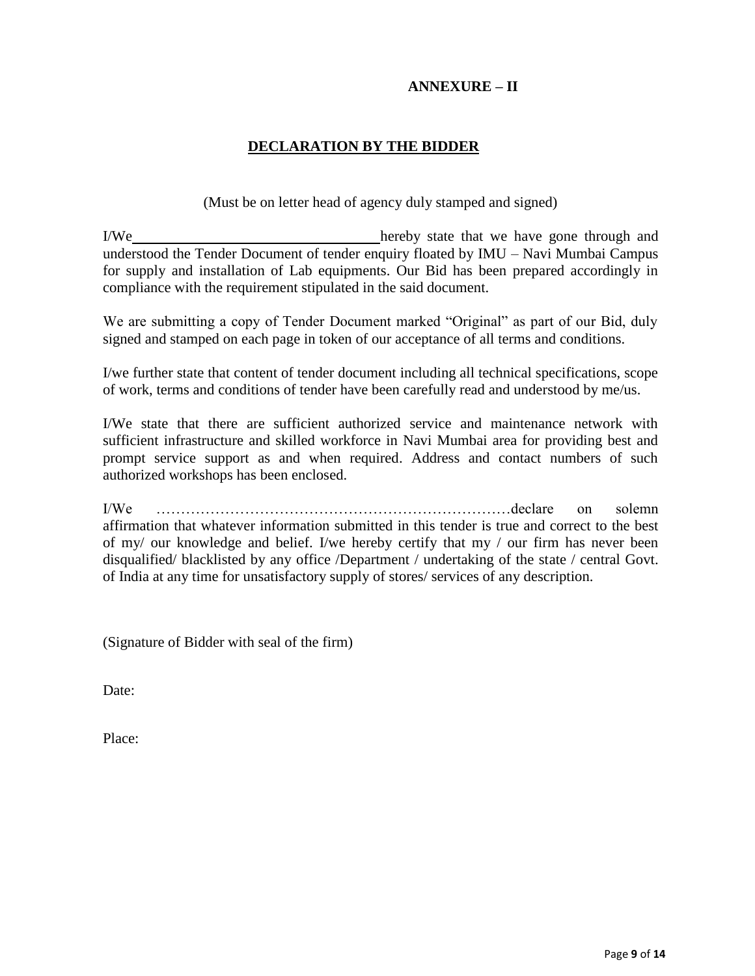### **ANNEXURE – II**

## **DECLARATION BY THE BIDDER**

(Must be on letter head of agency duly stamped and signed)

I/We hereby state that we have gone through and understood the Tender Document of tender enquiry floated by IMU – Navi Mumbai Campus for supply and installation of Lab equipments. Our Bid has been prepared accordingly in compliance with the requirement stipulated in the said document.

We are submitting a copy of Tender Document marked "Original" as part of our Bid, duly signed and stamped on each page in token of our acceptance of all terms and conditions.

I/we further state that content of tender document including all technical specifications, scope of work, terms and conditions of tender have been carefully read and understood by me/us.

I/We state that there are sufficient authorized service and maintenance network with sufficient infrastructure and skilled workforce in Navi Mumbai area for providing best and prompt service support as and when required. Address and contact numbers of such authorized workshops has been enclosed.

I/We ………………………………………………………………declare on solemn affirmation that whatever information submitted in this tender is true and correct to the best of my/ our knowledge and belief. I/we hereby certify that my / our firm has never been disqualified/ blacklisted by any office /Department / undertaking of the state / central Govt. of India at any time for unsatisfactory supply of stores/ services of any description.

(Signature of Bidder with seal of the firm)

Date:

Place: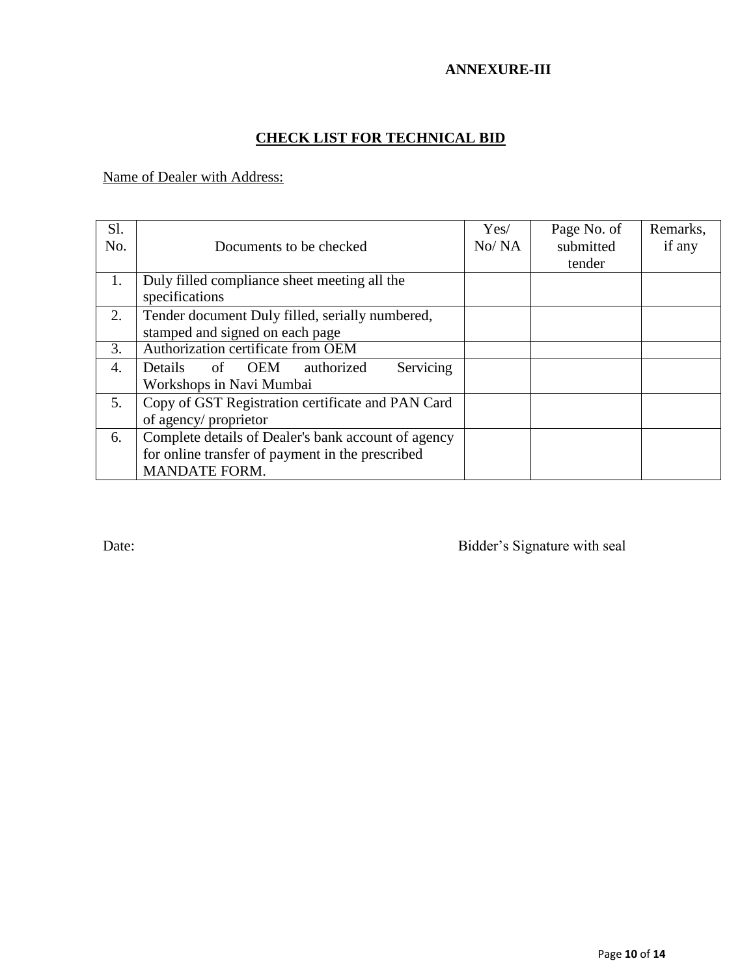## **ANNEXURE-III**

# **CHECK LIST FOR TECHNICAL BID**

Name of Dealer with Address:

| S1.<br>No. | Documents to be checked                                                                                                         | Yes/<br>No/NA | Page No. of<br>submitted<br>tender | Remarks,<br>if any |
|------------|---------------------------------------------------------------------------------------------------------------------------------|---------------|------------------------------------|--------------------|
| 1.         | Duly filled compliance sheet meeting all the<br>specifications                                                                  |               |                                    |                    |
| 2.         | Tender document Duly filled, serially numbered,<br>stamped and signed on each page                                              |               |                                    |                    |
| 3.         | Authorization certificate from OEM                                                                                              |               |                                    |                    |
| 4.         | Servicing<br>Details<br><b>OEM</b><br>authorized<br>of<br>Workshops in Navi Mumbai                                              |               |                                    |                    |
| 5.         | Copy of GST Registration certificate and PAN Card<br>of agency/ proprietor                                                      |               |                                    |                    |
| 6.         | Complete details of Dealer's bank account of agency<br>for online transfer of payment in the prescribed<br><b>MANDATE FORM.</b> |               |                                    |                    |

Date: Bidder's Signature with seal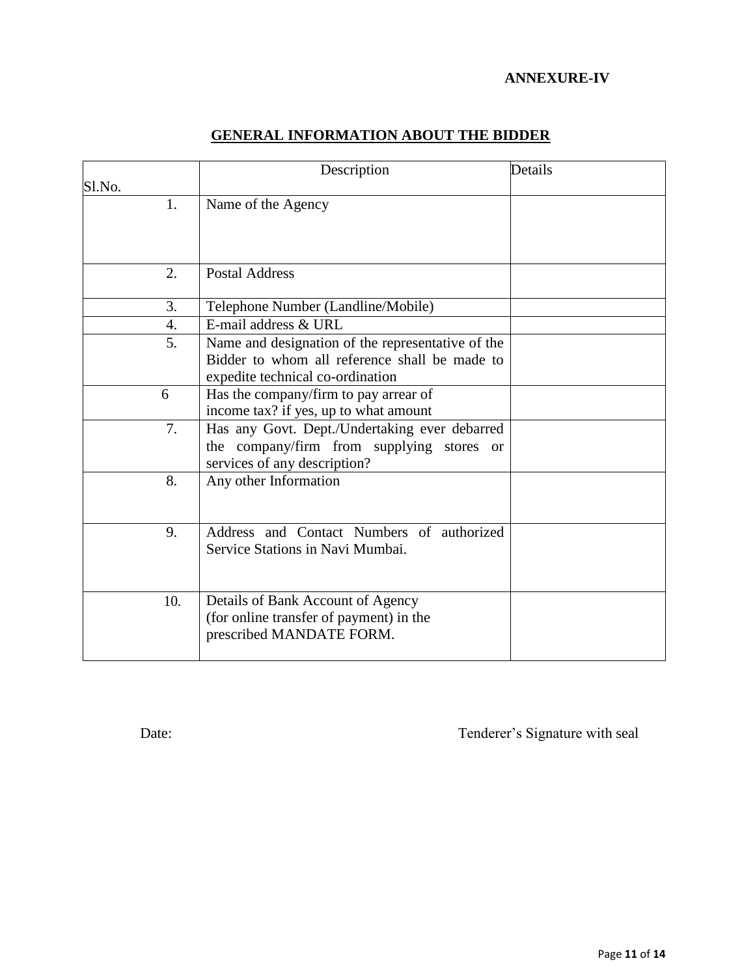## **ANNEXURE-IV**

|                  | Description                                                                                                                            | Details |
|------------------|----------------------------------------------------------------------------------------------------------------------------------------|---------|
| Sl.No.           |                                                                                                                                        |         |
| 1.               | Name of the Agency                                                                                                                     |         |
| 2.               | <b>Postal Address</b>                                                                                                                  |         |
| 3.               | Telephone Number (Landline/Mobile)                                                                                                     |         |
| $\overline{4}$ . | E-mail address $\&$ URL                                                                                                                |         |
| 5.               | Name and designation of the representative of the<br>Bidder to whom all reference shall be made to<br>expedite technical co-ordination |         |
| 6                | Has the company/firm to pay arrear of<br>income tax? if yes, up to what amount                                                         |         |
| 7.               | Has any Govt. Dept./Undertaking ever debarred<br>the company/firm from supplying stores or<br>services of any description?             |         |
| 8.               | Any other Information                                                                                                                  |         |
| 9.               | Address and Contact Numbers of authorized<br>Service Stations in Navi Mumbai.                                                          |         |
| 10.              | Details of Bank Account of Agency<br>(for online transfer of payment) in the<br>prescribed MANDATE FORM.                               |         |

# **GENERAL INFORMATION ABOUT THE BIDDER**

Date: Tenderer's Signature with seal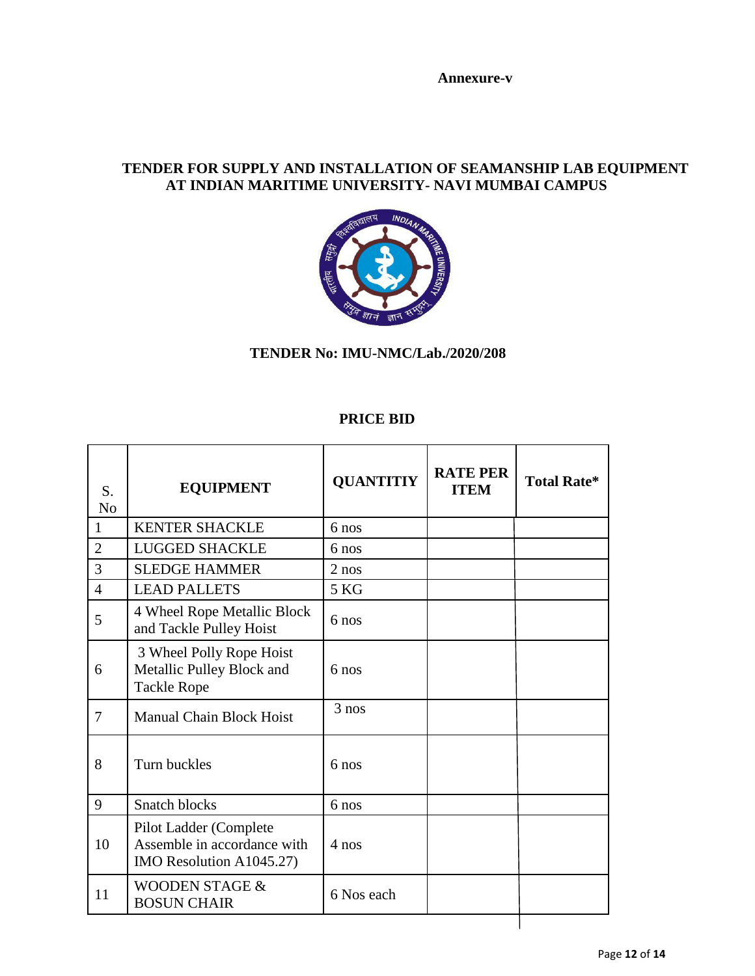**Annexure-v**

## **TENDER FOR SUPPLY AND INSTALLATION OF SEAMANSHIP LAB EQUIPMENT AT INDIAN MARITIME UNIVERSITY- NAVI MUMBAI CAMPUS**



## **TENDER No: IMU-NMC/Lab./2020/208**

## **PRICE BID**

| <b>EQUIPMENT</b>                                                                  | <b>QUANTITIY</b> | <b>RATE PER</b><br><b>ITEM</b> | <b>Total Rate*</b> |
|-----------------------------------------------------------------------------------|------------------|--------------------------------|--------------------|
| <b>KENTER SHACKLE</b>                                                             | 6 nos            |                                |                    |
| <b>LUGGED SHACKLE</b>                                                             | 6 nos            |                                |                    |
| <b>SLEDGE HAMMER</b>                                                              | $2$ nos          |                                |                    |
| <b>LEAD PALLETS</b>                                                               | 5 KG             |                                |                    |
| 4 Wheel Rope Metallic Block<br>and Tackle Pulley Hoist                            | $6 \text{ nos}$  |                                |                    |
| 3 Wheel Polly Rope Hoist<br>Metallic Pulley Block and<br><b>Tackle Rope</b>       | $6$ nos          |                                |                    |
| <b>Manual Chain Block Hoist</b>                                                   | 3 nos            |                                |                    |
| Turn buckles                                                                      | 6 nos            |                                |                    |
| Snatch blocks                                                                     | 6 nos            |                                |                    |
| Pilot Ladder (Complete<br>Assemble in accordance with<br>IMO Resolution A1045.27) | $4$ nos          |                                |                    |
| <b>WOODEN STAGE &amp;</b><br><b>BOSUN CHAIR</b>                                   | 6 Nos each       |                                |                    |
|                                                                                   |                  |                                |                    |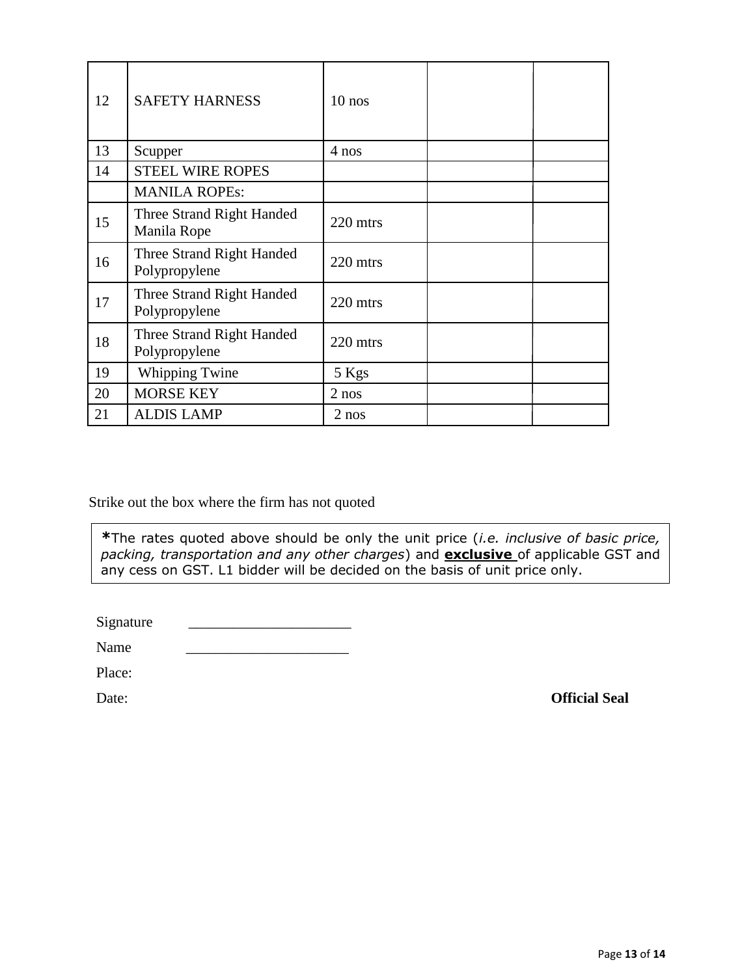| 12 | <b>SAFETY HARNESS</b>                      | $10$ nos |  |
|----|--------------------------------------------|----------|--|
| 13 | Scupper                                    | 4 nos    |  |
| 14 | <b>STEEL WIRE ROPES</b>                    |          |  |
|    | <b>MANILA ROPEs:</b>                       |          |  |
| 15 | Three Strand Right Handed<br>Manila Rope   | 220 mtrs |  |
| 16 | Three Strand Right Handed<br>Polypropylene | 220 mtrs |  |
| 17 | Three Strand Right Handed<br>Polypropylene | 220 mtrs |  |
| 18 | Three Strand Right Handed<br>Polypropylene | 220 mtrs |  |
| 19 | <b>Whipping Twine</b>                      | 5 Kgs    |  |
| 20 | <b>MORSE KEY</b>                           | $2$ nos  |  |
| 21 | <b>ALDIS LAMP</b>                          | $2$ nos  |  |

Strike out the box where the firm has not quoted

**\***The rates quoted above should be only the unit price (*i.e. inclusive of basic price, packing, transportation and any other charges*) and **exclusive** of applicable GST and any cess on GST. L1 bidder will be decided on the basis of unit price only.

Signature

Name \_\_\_\_\_\_\_\_\_\_\_\_\_\_\_\_\_\_\_\_\_\_

Place:

Date: **Official Seal**